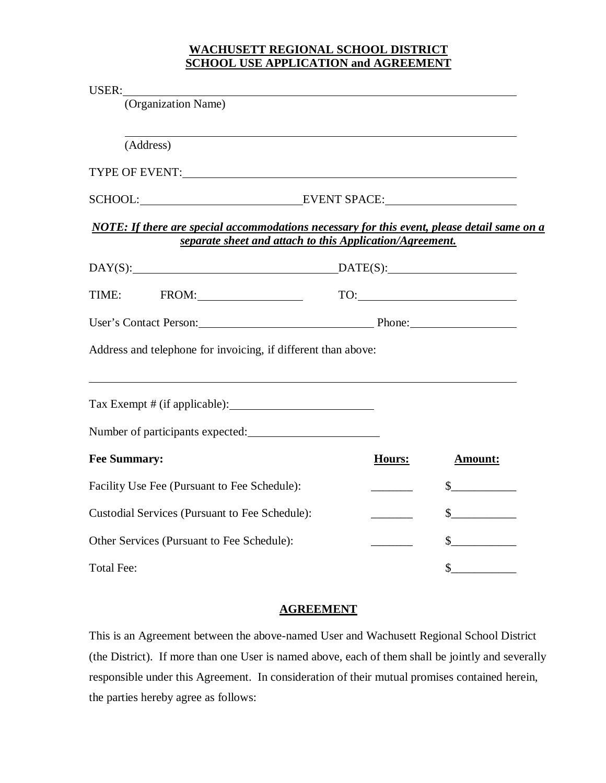## **WACHUSETT REGIONAL SCHOOL DISTRICT SCHOOL USE APPLICATION and AGREEMENT**

| Hours: | <b>Amount:</b>                                                                                               |                                                                                                                                                                                                                                                                                                                                                                                          |
|--------|--------------------------------------------------------------------------------------------------------------|------------------------------------------------------------------------------------------------------------------------------------------------------------------------------------------------------------------------------------------------------------------------------------------------------------------------------------------------------------------------------------------|
|        | $\sim$                                                                                                       |                                                                                                                                                                                                                                                                                                                                                                                          |
|        | $\sim$                                                                                                       |                                                                                                                                                                                                                                                                                                                                                                                          |
|        | $\frac{1}{2}$                                                                                                |                                                                                                                                                                                                                                                                                                                                                                                          |
|        | $\mathbb{S}$                                                                                                 |                                                                                                                                                                                                                                                                                                                                                                                          |
|        | DAY(S):<br>Address and telephone for invoicing, if different than above:<br>Number of participants expected: | SCHOOL: EVENT SPACE:<br>NOTE: If there are special accommodations necessary for this event, please detail same on a<br>separate sheet and attach to this Application/Agreement.<br>$\text{DATE}(S):$<br>$\begin{tabular}{c} \hline \text{TO:} \end{tabular}$<br>User's Contact Person: Phone: Phone:<br>,我们也不会有什么。""我们的人,我们也不会有什么?""我们的人,我们也不会有什么?""我们的人,我们也不会有什么?""我们的人,我们也不会有什么?""我们的人 |

#### **AGREEMENT**

This is an Agreement between the above-named User and Wachusett Regional School District (the District). If more than one User is named above, each of them shall be jointly and severally responsible under this Agreement. In consideration of their mutual promises contained herein, the parties hereby agree as follows: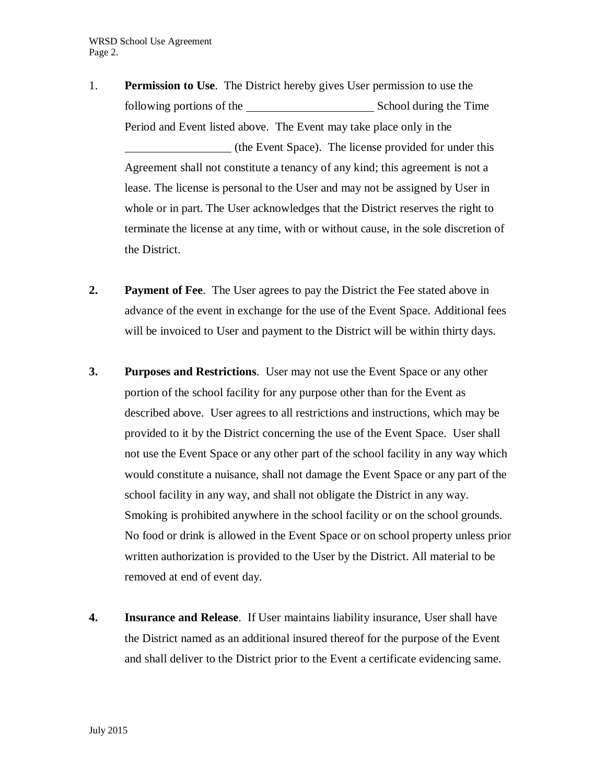- 1. **Permission to Use**. The District hereby gives User permission to use the following portions of the School during the Time Period and Event listed above. The Event may take place only in the (the Event Space). The license provided for under this Agreement shall not constitute a tenancy of any kind; this agreement is not a lease. The license is personal to the User and may not be assigned by User in whole or in part. The User acknowledges that the District reserves the right to terminate the license at any time, with or without cause, in the sole discretion of the District.
- **2. Payment of Fee**. The User agrees to pay the District the Fee stated above in advance of the event in exchange for the use of the Event Space. Additional fees will be invoiced to User and payment to the District will be within thirty days.
- **3. Purposes and Restrictions**. User may not use the Event Space or any other portion of the school facility for any purpose other than for the Event as described above. User agrees to all restrictions and instructions, which may be provided to it by the District concerning the use of the Event Space. User shall not use the Event Space or any other part of the school facility in any way which would constitute a nuisance, shall not damage the Event Space or any part of the school facility in any way, and shall not obligate the District in any way. Smoking is prohibited anywhere in the school facility or on the school grounds. No food or drink is allowed in the Event Space or on school property unless prior written authorization is provided to the User by the District. All material to be removed at end of event day.
- **4. Insurance and Release**. If User maintains liability insurance, User shall have the District named as an additional insured thereof for the purpose of the Event and shall deliver to the District prior to the Event a certificate evidencing same.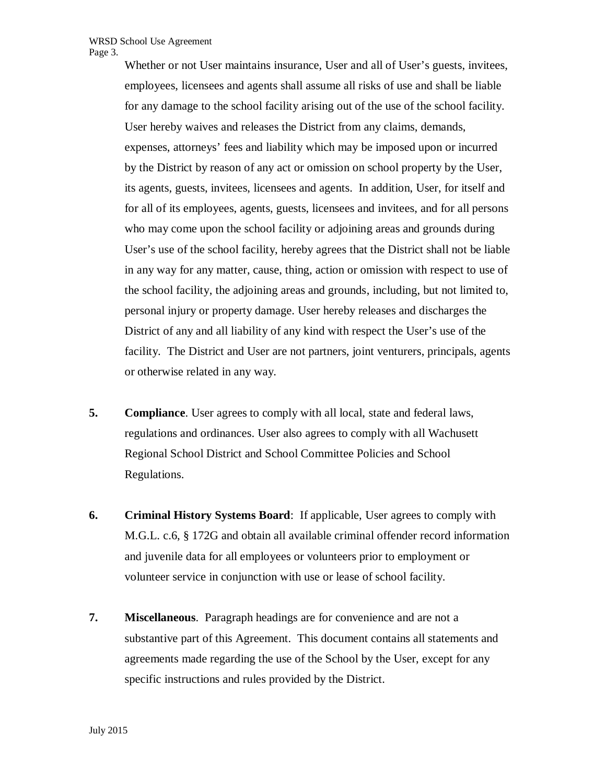Whether or not User maintains insurance, User and all of User's guests, invitees, employees, licensees and agents shall assume all risks of use and shall be liable for any damage to the school facility arising out of the use of the school facility. User hereby waives and releases the District from any claims, demands, expenses, attorneys' fees and liability which may be imposed upon or incurred by the District by reason of any act or omission on school property by the User, its agents, guests, invitees, licensees and agents. In addition, User, for itself and for all of its employees, agents, guests, licensees and invitees, and for all persons who may come upon the school facility or adjoining areas and grounds during User's use of the school facility, hereby agrees that the District shall not be liable in any way for any matter, cause, thing, action or omission with respect to use of the school facility, the adjoining areas and grounds, including, but not limited to, personal injury or property damage. User hereby releases and discharges the District of any and all liability of any kind with respect the User's use of the facility. The District and User are not partners, joint venturers, principals, agents or otherwise related in any way.

- **5. Compliance**. User agrees to comply with all local, state and federal laws, regulations and ordinances. User also agrees to comply with all Wachusett Regional School District and School Committee Policies and School Regulations.
- **6. Criminal History Systems Board**: If applicable, User agrees to comply with M.G.L. c.6, § 172G and obtain all available criminal offender record information and juvenile data for all employees or volunteers prior to employment or volunteer service in conjunction with use or lease of school facility.
- **7. Miscellaneous**. Paragraph headings are for convenience and are not a substantive part of this Agreement. This document contains all statements and agreements made regarding the use of the School by the User, except for any specific instructions and rules provided by the District.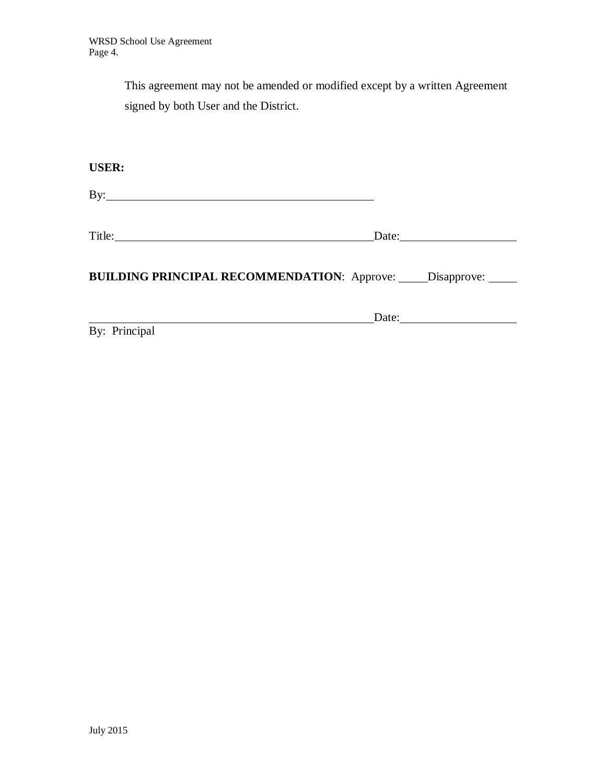This agreement may not be amended or modified except by a written Agreement signed by both User and the District.

**USER:**

By:

Title: Date: Date:

**BUILDING PRINCIPAL RECOMMENDATION:** Approve: \_\_\_\_\_ Disapprove: \_\_\_\_\_

Date: <u> 1989 - Johann Barbara, martxa amerikan per</u>

By: Principal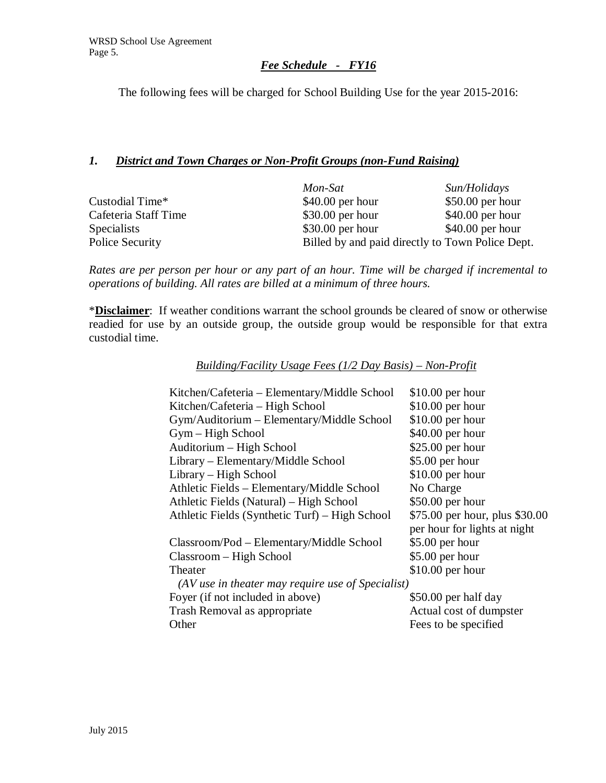# *Fee Schedule - FY16*

The following fees will be charged for School Building Use for the year 2015-2016:

### *1. District and Town Charges or Non-Profit Groups (non-Fund Raising)*

|                      | Mon-Sat                                          | Sun/Holidays      |
|----------------------|--------------------------------------------------|-------------------|
| Custodial Time*      | $$40.00$ per hour                                | $$50.00$ per hour |
| Cafeteria Staff Time | $$30.00$ per hour                                | $$40.00$ per hour |
| <b>Specialists</b>   | $$30.00$ per hour                                | $$40.00$ per hour |
| Police Security      | Billed by and paid directly to Town Police Dept. |                   |

*Rates are per person per hour or any part of an hour. Time will be charged if incremental to operations of building. All rates are billed at a minimum of three hours.*

\***Disclaimer**: If weather conditions warrant the school grounds be cleared of snow or otherwise readied for use by an outside group, the outside group would be responsible for that extra custodial time.

| Building/Facility Usage Fees $(1/2$ Day Basis) – Non-Profit |  |  |  |
|-------------------------------------------------------------|--|--|--|
|                                                             |  |  |  |

| Kitchen/Cafeteria – Elementary/Middle School              | $$10.00$ per hour              |
|-----------------------------------------------------------|--------------------------------|
| Kitchen/Cafeteria - High School                           | $$10.00$ per hour              |
| Gym/Auditorium - Elementary/Middle School                 | $$10.00$ per hour              |
| Gym – High School                                         | $$40.00$ per hour              |
| Auditorium - High School                                  | \$25.00 per hour               |
| Library – Elementary/Middle School                        | \$5.00 per hour                |
| Library – High School                                     | $$10.00$ per hour              |
| Athletic Fields – Elementary/Middle School                | No Charge                      |
| Athletic Fields (Natural) – High School                   | $$50.00$ per hour              |
| Athletic Fields (Synthetic Turf) – High School            | \$75.00 per hour, plus \$30.00 |
|                                                           | per hour for lights at night   |
| Classroom/Pod - Elementary/Middle School                  | \$5.00 per hour                |
| Classroom – High School                                   | $$5.00$ per hour               |
| Theater                                                   | $$10.00$ per hour              |
| $\left( AV$ use in theater may require use of Specialist) |                                |
| Foyer (if not included in above)                          | \$50.00 per half day           |
| Trash Removal as appropriate                              | Actual cost of dumpster        |
| Other                                                     | Fees to be specified           |